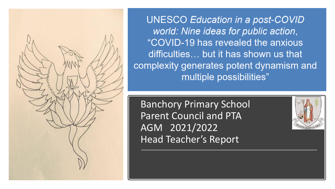

**UNESCO Education in a post-COVID** world: Nine ideas for public action, "COVID-19 has revealed the anxious difficulties... but it has shown us that complexity generates potent dynamism and multiple possibilities"

Banchory Primary School Parent Council and PTA AGM 2021/2022 Head Teacher's Report

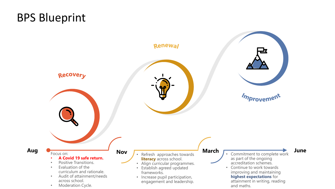# BPS Blueprint

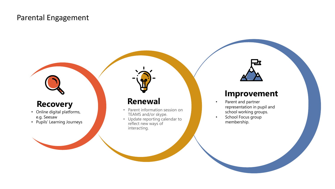#### Parental Engagement

## **Recovery**

- Online digital platforms, e.g. Seesaw
- Pupils' Learning Journeys

### **Renewal**

- Parent information session on TEAMS and/or skype.
- Update reporting calendar to reflect new ways of interacting.

#### **Improvement**

- Parent and partner representation in pupil and school working groups.
- School Focus group membership.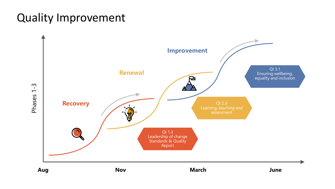# Quality Improvement

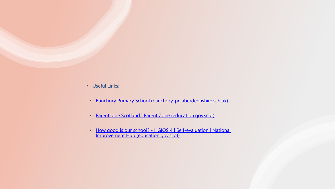- Useful Links:
	- [Banchory Primary School \(banchory-pri.aberdeenshire.sch.uk\)](https://banchory-pri.aberdeenshire.sch.uk/)
	- [Parentzone Scotland | Parent Zone \(education.gov.scot\)](https://education.gov.scot/parentzone/)
	- How good is our school? HGIOS 4 | Self-evaluation | National [Improvement Hub \(education.gov.scot\)](https://education.gov.scot/improvement/self-evaluation/HGIOS4)